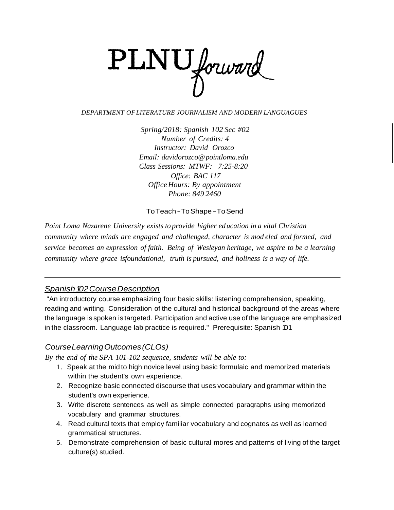

#### *DEPARTMENT OFLITERATURE JOURNALISM AND MODERN LANGUAGUES*

*Spring/2018: Spanish 102 Sec #02 Number of Credits: 4 Instructor: David Orozco Email: davidorozco@pointloma.edu Class Sessions: MTWF: 7:25-8:20 Office: BAC 117 OfficeHours: By appointment Phone: 849 2460*

ToTeach-ToShape-ToSend

*Point Loma Nazarene University exists to provide higher ed ucation in a vital Christian community where minds are engaged and challenged, character is mod eled and formed, and service becomes an expression of faith. Being of Wesleyan heritage, we aspire to be a learning community where grace isfoundational, truth is pursued, and holiness is a way of life.*

### *Spanish102CourseDescription*

"An introductory course emphasizing four basic skills: listening comprehension, speaking, reading and writing. Consideration of the cultural and historical background of the areas where the language is spoken is targeted. Participation and active use of the language are emphasized in the classroom. Language lab practice is required." Prerequisite: Spanish 101

## *CourseLearningOutcomes(CLOs)*

*By the end of the SPA 101-102 sequence, students will be able to:*

- 1. Speak at the mid to high novice level using basic formulaic and memorized materials within the student's own experience.
- 2. Recognize basic connected discourse that uses vocabulary and grammar within the student's own experience.
- 3. Write discrete sentences as well as simple connected paragraphs using memorized vocabulary and grammar structures.
- 4. Read cultural texts that employ familiar vocabulary and cognates as well as learned grammatical structures.
- 5. Demonstrate comprehension of basic cultural mores and patterns of living of the target culture(s) studied.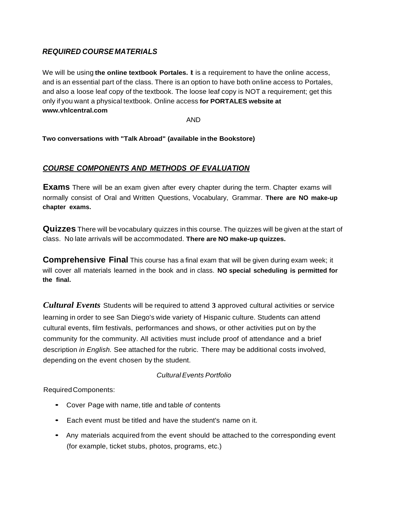## *REQUIRED COURSE MATERIALS*

We will be using **the online textbook Portales.** It is a requirement to have the online access, and is an essential part of the class. There is an option to have both online access to Portales, and also a loose leaf copy of the textbook. The loose leaf copy is NOT a requirement; get this only if you want a physical textbook. Online access **for PORTALES website at [www.vhlcentral.com](http://www.vhlcentral.com/)**

AND

**Two conversations with "Talk Abroad" (available inthe Bookstore)**

## *COURSE COMPONENTS AND METHODS OF EVALUATION*

**Exams** There will be an exam given after every chapter during the term. Chapter exams will normally consist of Oral and Written Questions, Vocabulary, Grammar. **There are NO make-up chapter exams.**

**Quizzes** There will be vocabulary quizzes in this course. The quizzes will be given at the start of class. No late arrivals will be accommodated. **There are NO make-up quizzes.**

**Comprehensive Final** This course has a final exam that will be given during exam week; it will cover all materials learned in the book and in class. **NO special scheduling is permitted for the final.**

*Cultural Events* Students will be required to attend **3** approved cultural activities or service learning in order to see San Diego's wide variety of Hispanic culture. Students can attend cultural events, film festivals, performances and shows, or other activities put on by the community for the community. All activities must include proof of attendance and a brief description *in English.* See attached for the rubric. There may be additional costs involved, depending on the event chosen by the student.

### *Cultural Events Portfolio*

RequiredComponents:

- Cover Page with name, title and table *of* contents
- Each event must be titled and have the student's name on it.
- Any materials acquired from the event should be attached to the corresponding event (for example, ticket stubs, photos, programs, etc.)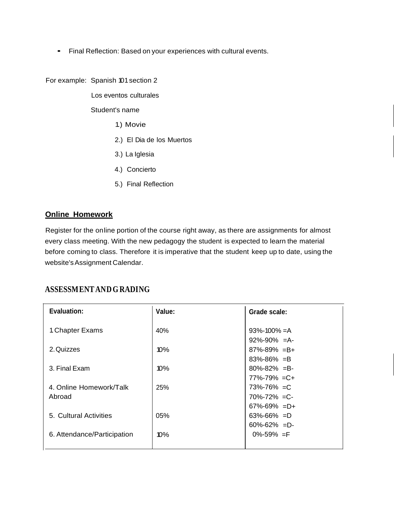• Final Reflection: Based on your experiences with cultural events.

For example: Spanish 101section 2

Los eventos culturales

Student's name

- 1.) Movie
- 2.) El Dia de los Muertos
- 3.) La Iglesia
- 4.) Concierto
- 5.) Final Reflection

### **Online Homework**

Register for the online portion of the course right away, as there are assignments for almost every class meeting. With the new pedagogy the student is expected to learn the material before coming to class. Therefore it is imperative that the student keep up to date, using the website'sAssignment Calendar.

# **ASSESSMENTANDG RADING**

| Evaluation:                 | Value:     | Grade scale:        |
|-----------------------------|------------|---------------------|
| 1. Chapter Exams            | 40%        | $93\% - 100\% = A$  |
|                             |            | $92\% - 90\% = A$   |
| 2. Quizzes                  | $10\%$     | $87\% - 89\% = B +$ |
|                             |            | $83\% - 86\% = B$   |
| 3. Final Exam               | 10%        | $80\% - 82\% = B$   |
|                             |            | $77\% - 79\% = C +$ |
| 4. Online Homework/Talk     | <b>25%</b> | $73\% - 76\% = C$   |
| Abroad                      |            | $70\% - 72\% = C$   |
|                             |            | $67\% - 69\% = D +$ |
| 5. Cultural Activities      | 05%        | $63\% - 66\% = D$   |
|                             |            | $60\% - 62\% = D$   |
| 6. Attendance/Participation | 10%        | $0\% - 59\% = F$    |
|                             |            |                     |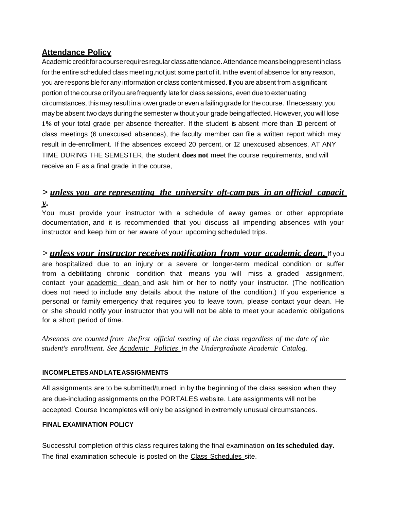## **Attendance Policy**

Academic creditfor a course requires regular class attendance. Attendance means being present in class for the entire scheduled class meeting,notjust some part of it. Inthe event of absence for any reason, you are responsible for any information or class content missed. If you are absent from a significant portion of the course or ifyou are frequently late for class sessions, even due to extenuating circumstances, thismay result ina lowergrade or even a failing grade forthe course. Ifnecessary, you may be absent two days duringthe semester without your grade beingaffected. However, you will lose **1%** of your total grade per absence thereafter. If the student is absent more than 10 percent of class meetings (6 unexcused absences), the faculty member can file a written report which may result in de-enrollment. If the absences exceed 20 percent, or 12 unexcused absences, AT ANY TIME DURING THE SEMESTER, the student **does not** meet the course requirements, and will receive an F as a final grade in the course,

## > *unless you are representing the university oft-campus in an official capacit y.*

You must provide your instructor with a schedule of away games or other appropriate documentation, and it is recommended that you discuss all impending absences with your instructor and keep him or her aware of your upcoming scheduled trips.

## *> unless your instructor receives notification from your academic dean.* If you

are hospitalized due to an injury or a severe or longer-term medical condition or suffer from a debilitating chronic condition that means you will miss a graded assignment, contact your **academic** dean and ask him or her to notify your instructor. (The notification does not need to include any details about the nature of the condition.) If you experience a personal or family emergency that requires you to leave town, please contact your dean. He or she should notify your instructor that you will not be able to meet your academic obligations for a short period of time.

*Absences are counted from the first official meeting of the class regardless of the date of the student's enrollment. See Academic Policies in the Undergraduate Academic Catalog.*

### **INCOMPLETESAND LATEASSIGNMENTS**

All assignments are to be submitted/turned in by the beginning of the class session when they are due-including assignments on the PORTALES website. Late assignments will not be accepted. Course lncompletes will only be assigned in extremely unusual circumstances.

### **FINAL EXAMINATION POLICY**

Successful completion of this class requires taking the final examination **on itsscheduled day.** The final examination schedule is posted on the Class Schedules site.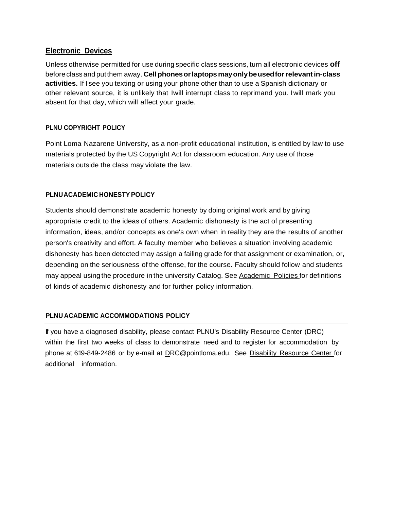## **Electronic Devices**

Unless otherwise permitted for use during specific class sessions, turn all electronic devices **off** before class and putthem away. **Cellphonesorlaptops mayonlybeusedforrelevantin-class activities.** If I see you texting or using your phone other than to use a Spanish dictionary or other relevant source, it is unlikely that Iwill interrupt class to reprimand you. Iwill mark you absent for that day, which will affect your grade.

## **PLNU COPYRIGHT POLICY**

Point Loma Nazarene University, as a non-profit educational institution, is entitled by law to use materials protected by the US Copyright Act for classroom education. Any use of those materials outside the class may violate the law.

### **PLNUACADEMIC HONESTYPOLICY**

Students should demonstrate academic honesty by doing original work and by giving appropriate credit to the ideas of others. Academic dishonesty is the act of presenting information, ideas, and/or concepts as one's own when in reality they are the results of another person's creativity and effort. A faculty member who believes a situation involving academic dishonesty has been detected may assign a failing grade for that assignment or examination, or, depending on the seriousness of the offense, for the course. Faculty should follow and students may appeal using the procedure in the university Catalog. See Academic Policies for definitions of kinds of academic dishonesty and for further policy information.

### **PLNU ACADEMIC ACCOMMODATIONS POLICY**

If you have a diagnosed disability, please contact PLNU's Disability Resource Center (DRC) within the first two weeks of class to demonstrate need and to register for accommodation by phone at 619-849-2486 or by e-mail at [DRC@pointloma.edu.](mailto:DRC@pointloma.edu) See Disability Resource Center for additional information.